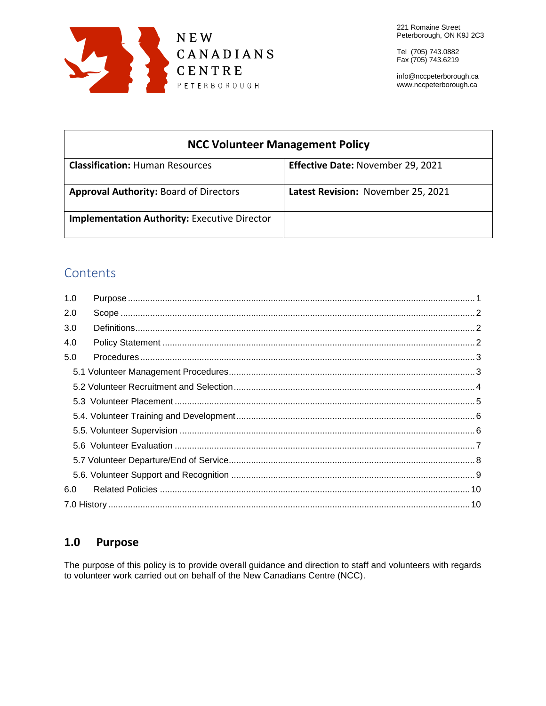

info@nccpeterborough.ca www.nccpeterborough.ca

| <b>NCC Volunteer Management Policy</b>              |                                    |  |
|-----------------------------------------------------|------------------------------------|--|
| <b>Classification: Human Resources</b>              | Effective Date: November 29, 2021  |  |
| <b>Approval Authority: Board of Directors</b>       | Latest Revision: November 25, 2021 |  |
| <b>Implementation Authority: Executive Director</b> |                                    |  |

# Contents

| 1.0 |  |
|-----|--|
| 2.0 |  |
| 3.0 |  |
| 4.0 |  |
| 5.0 |  |
|     |  |
|     |  |
|     |  |
|     |  |
|     |  |
|     |  |
|     |  |
|     |  |
| 6.0 |  |
|     |  |

#### <span id="page-0-0"></span> $1.0$ **Purpose**

The purpose of this policy is to provide overall guidance and direction to staff and volunteers with regards to volunteer work carried out on behalf of the New Canadians Centre (NCC).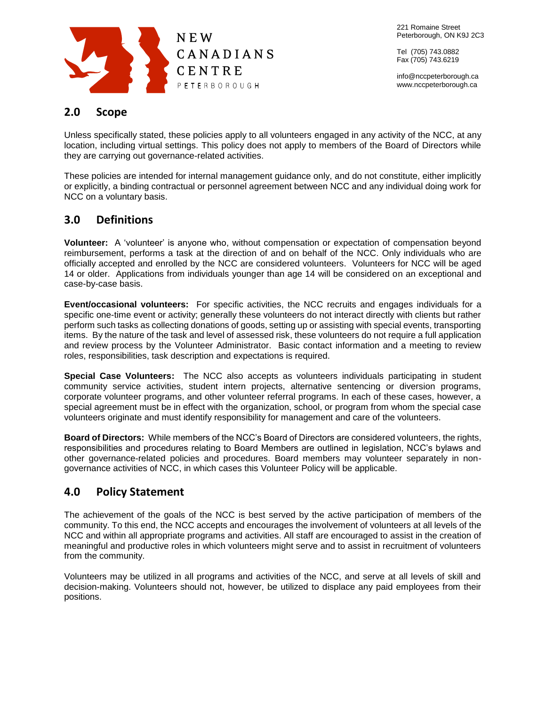

info@nccpeterborough.ca www.nccpeterborough.ca

# <span id="page-1-0"></span>**2.0 Scope**

Unless specifically stated, these policies apply to all volunteers engaged in any activity of the NCC, at any location, including virtual settings. This policy does not apply to members of the Board of Directors while they are carrying out governance-related activities.

These policies are intended for internal management guidance only, and do not constitute, either implicitly or explicitly, a binding contractual or personnel agreement between NCC and any individual doing work for NCC on a voluntary basis.

# <span id="page-1-1"></span>**3.0 Definitions**

**Volunteer:** A 'volunteer' is anyone who, without compensation or expectation of compensation beyond reimbursement, performs a task at the direction of and on behalf of the NCC. Only individuals who are officially accepted and enrolled by the NCC are considered volunteers. Volunteers for NCC will be aged 14 or older. Applications from individuals younger than age 14 will be considered on an exceptional and case-by-case basis.

**Event/occasional volunteers:** For specific activities, the NCC recruits and engages individuals for a specific one-time event or activity; generally these volunteers do not interact directly with clients but rather perform such tasks as collecting donations of goods, setting up or assisting with special events, transporting items. By the nature of the task and level of assessed risk, these volunteers do not require a full application and review process by the Volunteer Administrator. Basic contact information and a meeting to review roles, responsibilities, task description and expectations is required.

**Special Case Volunteers:** The NCC also accepts as volunteers individuals participating in student community service activities, student intern projects, alternative sentencing or diversion programs, corporate volunteer programs, and other volunteer referral programs. In each of these cases, however, a special agreement must be in effect with the organization, school, or program from whom the special case volunteers originate and must identify responsibility for management and care of the volunteers.

**Board of Directors:** While members of the NCC's Board of Directors are considered volunteers, the rights, responsibilities and procedures relating to Board Members are outlined in legislation, NCC's bylaws and other governance-related policies and procedures. Board members may volunteer separately in nongovernance activities of NCC, in which cases this Volunteer Policy will be applicable.

# <span id="page-1-2"></span>**4.0 Policy Statement**

The achievement of the goals of the NCC is best served by the active participation of members of the community. To this end, the NCC accepts and encourages the involvement of volunteers at all levels of the NCC and within all appropriate programs and activities. All staff are encouraged to assist in the creation of meaningful and productive roles in which volunteers might serve and to assist in recruitment of volunteers from the community.

Volunteers may be utilized in all programs and activities of the NCC, and serve at all levels of skill and decision-making. Volunteers should not, however, be utilized to displace any paid employees from their positions.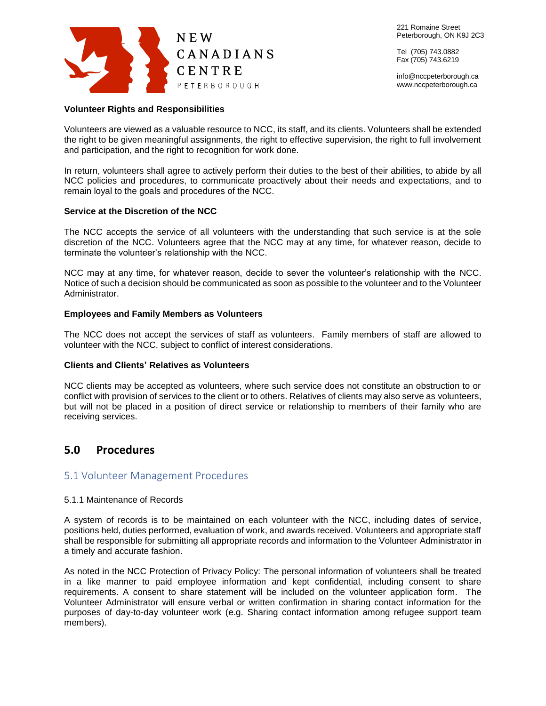

info@nccpeterborough.ca www.nccpeterborough.ca

# **Volunteer Rights and Responsibilities**

Volunteers are viewed as a valuable resource to NCC, its staff, and its clients. Volunteers shall be extended the right to be given meaningful assignments, the right to effective supervision, the right to full involvement and participation, and the right to recognition for work done.

In return, volunteers shall agree to actively perform their duties to the best of their abilities, to abide by all NCC policies and procedures, to communicate proactively about their needs and expectations, and to remain loyal to the goals and procedures of the NCC.

# **Service at the Discretion of the NCC**

The NCC accepts the service of all volunteers with the understanding that such service is at the sole discretion of the NCC. Volunteers agree that the NCC may at any time, for whatever reason, decide to terminate the volunteer's relationship with the NCC.

NCC may at any time, for whatever reason, decide to sever the volunteer's relationship with the NCC. Notice of such a decision should be communicated as soon as possible to the volunteer and to the Volunteer Administrator.

# **Employees and Family Members as Volunteers**

The NCC does not accept the services of staff as volunteers. Family members of staff are allowed to volunteer with the NCC, subject to conflict of interest considerations.

# **Clients and Clients' Relatives as Volunteers**

NCC clients may be accepted as volunteers, where such service does not constitute an obstruction to or conflict with provision of services to the client or to others. Relatives of clients may also serve as volunteers, but will not be placed in a position of direct service or relationship to members of their family who are receiving services.

# <span id="page-2-0"></span>**5.0 Procedures**

# <span id="page-2-1"></span>5.1 Volunteer Management Procedures

# 5.1.1 Maintenance of Records

A system of records is to be maintained on each volunteer with the NCC, including dates of service, positions held, duties performed, evaluation of work, and awards received. Volunteers and appropriate staff shall be responsible for submitting all appropriate records and information to the Volunteer Administrator in a timely and accurate fashion.

As noted in the NCC Protection of Privacy Policy: The personal information of volunteers shall be treated in a like manner to paid employee information and kept confidential, including consent to share requirements. A consent to share statement will be included on the volunteer application form. The Volunteer Administrator will ensure verbal or written confirmation in sharing contact information for the purposes of day-to-day volunteer work (e.g. Sharing contact information among refugee support team members).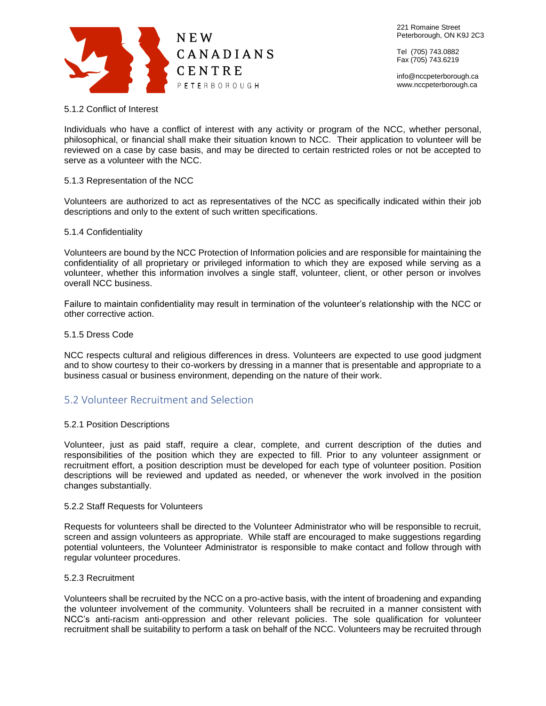

info@nccpeterborough.ca www.nccpeterborough.ca

# 5.1.2 Conflict of Interest

Individuals who have a conflict of interest with any activity or program of the NCC, whether personal, philosophical, or financial shall make their situation known to NCC. Their application to volunteer will be reviewed on a case by case basis, and may be directed to certain restricted roles or not be accepted to serve as a volunteer with the NCC.

# 5.1.3 Representation of the NCC

Volunteers are authorized to act as representatives of the NCC as specifically indicated within their job descriptions and only to the extent of such written specifications.

# 5.1.4 Confidentiality

Volunteers are bound by the NCC Protection of Information policies and are responsible for maintaining the confidentiality of all proprietary or privileged information to which they are exposed while serving as a volunteer, whether this information involves a single staff, volunteer, client, or other person or involves overall NCC business.

Failure to maintain confidentiality may result in termination of the volunteer's relationship with the NCC or other corrective action.

# 5.1.5 Dress Code

NCC respects cultural and religious differences in dress. Volunteers are expected to use good judgment and to show courtesy to their co-workers by dressing in a manner that is presentable and appropriate to a business casual or business environment, depending on the nature of their work.

# <span id="page-3-0"></span>5.2 Volunteer Recruitment and Selection

# 5.2.1 Position Descriptions

Volunteer, just as paid staff, require a clear, complete, and current description of the duties and responsibilities of the position which they are expected to fill. Prior to any volunteer assignment or recruitment effort, a position description must be developed for each type of volunteer position. Position descriptions will be reviewed and updated as needed, or whenever the work involved in the position changes substantially.

# 5.2.2 Staff Requests for Volunteers

Requests for volunteers shall be directed to the Volunteer Administrator who will be responsible to recruit, screen and assign volunteers as appropriate. While staff are encouraged to make suggestions regarding potential volunteers, the Volunteer Administrator is responsible to make contact and follow through with regular volunteer procedures.

# 5.2.3 Recruitment

Volunteers shall be recruited by the NCC on a pro-active basis, with the intent of broadening and expanding the volunteer involvement of the community. Volunteers shall be recruited in a manner consistent with NCC's anti-racism anti-oppression and other relevant policies. The sole qualification for volunteer recruitment shall be suitability to perform a task on behalf of the NCC. Volunteers may be recruited through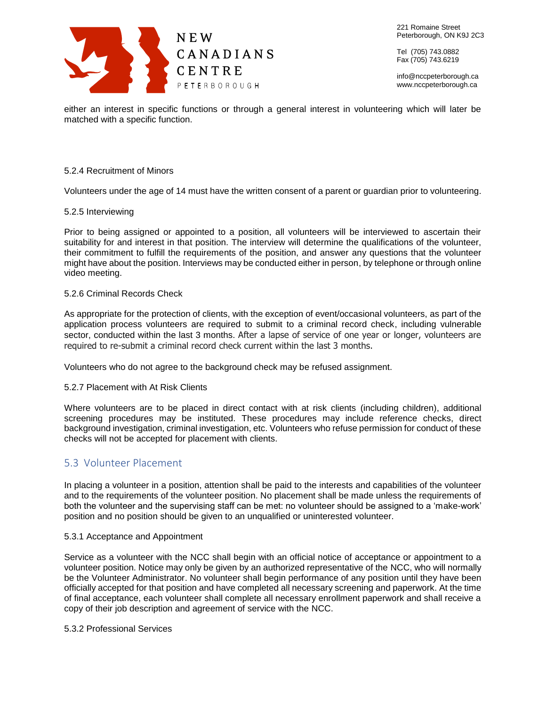

221 Romaine Street Peterborough, ON K9J 2C3

Tel (705) 743.0882 Fax (705) 743.6219

info@nccpeterborough.ca www.nccpeterborough.ca

either an interest in specific functions or through a general interest in volunteering which will later be matched with a specific function.

### 5.2.4 Recruitment of Minors

Volunteers under the age of 14 must have the written consent of a parent or guardian prior to volunteering.

#### 5.2.5 Interviewing

Prior to being assigned or appointed to a position, all volunteers will be interviewed to ascertain their suitability for and interest in that position. The interview will determine the qualifications of the volunteer, their commitment to fulfill the requirements of the position, and answer any questions that the volunteer might have about the position. Interviews may be conducted either in person, by telephone or through online video meeting.

#### 5.2.6 Criminal Records Check

As appropriate for the protection of clients, with the exception of event/occasional volunteers, as part of the application process volunteers are required to submit to a criminal record check, including vulnerable sector, conducted within the last 3 months. After a lapse of service of one year or longer, volunteers are required to re-submit a criminal record check current within the last 3 months.

Volunteers who do not agree to the background check may be refused assignment.

# 5.2.7 Placement with At Risk Clients

Where volunteers are to be placed in direct contact with at risk clients (including children), additional screening procedures may be instituted. These procedures may include reference checks, direct background investigation, criminal investigation, etc. Volunteers who refuse permission for conduct of these checks will not be accepted for placement with clients.

# <span id="page-4-0"></span>5.3 Volunteer Placement

In placing a volunteer in a position, attention shall be paid to the interests and capabilities of the volunteer and to the requirements of the volunteer position. No placement shall be made unless the requirements of both the volunteer and the supervising staff can be met: no volunteer should be assigned to a 'make-work' position and no position should be given to an unqualified or uninterested volunteer.

#### 5.3.1 Acceptance and Appointment

Service as a volunteer with the NCC shall begin with an official notice of acceptance or appointment to a volunteer position. Notice may only be given by an authorized representative of the NCC, who will normally be the Volunteer Administrator. No volunteer shall begin performance of any position until they have been officially accepted for that position and have completed all necessary screening and paperwork. At the time of final acceptance, each volunteer shall complete all necessary enrollment paperwork and shall receive a copy of their job description and agreement of service with the NCC.

#### 5.3.2 Professional Services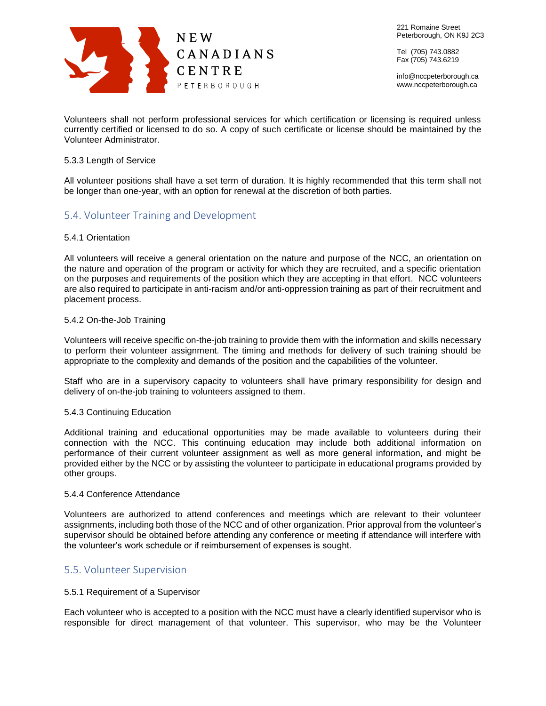

info@nccpeterborough.ca www.nccpeterborough.ca

Volunteers shall not perform professional services for which certification or licensing is required unless currently certified or licensed to do so. A copy of such certificate or license should be maintained by the Volunteer Administrator.

# 5.3.3 Length of Service

All volunteer positions shall have a set term of duration. It is highly recommended that this term shall not be longer than one-year, with an option for renewal at the discretion of both parties.

# <span id="page-5-0"></span>5.4. Volunteer Training and Development

#### 5.4.1 Orientation

All volunteers will receive a general orientation on the nature and purpose of the NCC, an orientation on the nature and operation of the program or activity for which they are recruited, and a specific orientation on the purposes and requirements of the position which they are accepting in that effort. NCC volunteers are also required to participate in anti-racism and/or anti-oppression training as part of their recruitment and placement process.

#### 5.4.2 On-the-Job Training

Volunteers will receive specific on-the-job training to provide them with the information and skills necessary to perform their volunteer assignment. The timing and methods for delivery of such training should be appropriate to the complexity and demands of the position and the capabilities of the volunteer.

Staff who are in a supervisory capacity to volunteers shall have primary responsibility for design and delivery of on-the-job training to volunteers assigned to them.

#### 5.4.3 Continuing Education

Additional training and educational opportunities may be made available to volunteers during their connection with the NCC. This continuing education may include both additional information on performance of their current volunteer assignment as well as more general information, and might be provided either by the NCC or by assisting the volunteer to participate in educational programs provided by other groups.

#### 5.4.4 Conference Attendance

Volunteers are authorized to attend conferences and meetings which are relevant to their volunteer assignments, including both those of the NCC and of other organization. Prior approval from the volunteer's supervisor should be obtained before attending any conference or meeting if attendance will interfere with the volunteer's work schedule or if reimbursement of expenses is sought.

# <span id="page-5-1"></span>5.5. Volunteer Supervision

#### 5.5.1 Requirement of a Supervisor

Each volunteer who is accepted to a position with the NCC must have a clearly identified supervisor who is responsible for direct management of that volunteer. This supervisor, who may be the Volunteer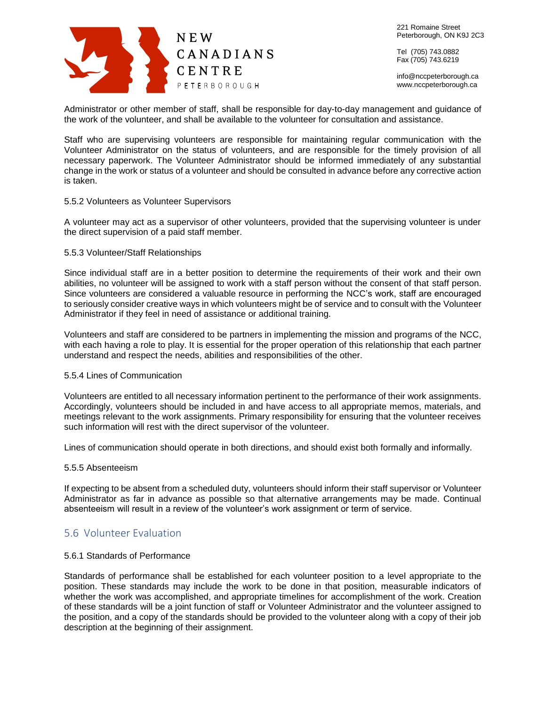

info@nccpeterborough.ca www.nccpeterborough.ca

Administrator or other member of staff, shall be responsible for day-to-day management and guidance of the work of the volunteer, and shall be available to the volunteer for consultation and assistance.

Staff who are supervising volunteers are responsible for maintaining regular communication with the Volunteer Administrator on the status of volunteers, and are responsible for the timely provision of all necessary paperwork. The Volunteer Administrator should be informed immediately of any substantial change in the work or status of a volunteer and should be consulted in advance before any corrective action is taken.

#### 5.5.2 Volunteers as Volunteer Supervisors

A volunteer may act as a supervisor of other volunteers, provided that the supervising volunteer is under the direct supervision of a paid staff member.

#### 5.5.3 Volunteer/Staff Relationships

Since individual staff are in a better position to determine the requirements of their work and their own abilities, no volunteer will be assigned to work with a staff person without the consent of that staff person. Since volunteers are considered a valuable resource in performing the NCC's work, staff are encouraged to seriously consider creative ways in which volunteers might be of service and to consult with the Volunteer Administrator if they feel in need of assistance or additional training.

Volunteers and staff are considered to be partners in implementing the mission and programs of the NCC, with each having a role to play. It is essential for the proper operation of this relationship that each partner understand and respect the needs, abilities and responsibilities of the other.

#### 5.5.4 Lines of Communication

Volunteers are entitled to all necessary information pertinent to the performance of their work assignments. Accordingly, volunteers should be included in and have access to all appropriate memos, materials, and meetings relevant to the work assignments. Primary responsibility for ensuring that the volunteer receives such information will rest with the direct supervisor of the volunteer.

Lines of communication should operate in both directions, and should exist both formally and informally.

#### 5.5.5 Absenteeism

If expecting to be absent from a scheduled duty, volunteers should inform their staff supervisor or Volunteer Administrator as far in advance as possible so that alternative arrangements may be made. Continual absenteeism will result in a review of the volunteer's work assignment or term of service.

# <span id="page-6-0"></span>5.6 Volunteer Evaluation

#### 5.6.1 Standards of Performance

Standards of performance shall be established for each volunteer position to a level appropriate to the position. These standards may include the work to be done in that position, measurable indicators of whether the work was accomplished, and appropriate timelines for accomplishment of the work. Creation of these standards will be a joint function of staff or Volunteer Administrator and the volunteer assigned to the position, and a copy of the standards should be provided to the volunteer along with a copy of their job description at the beginning of their assignment.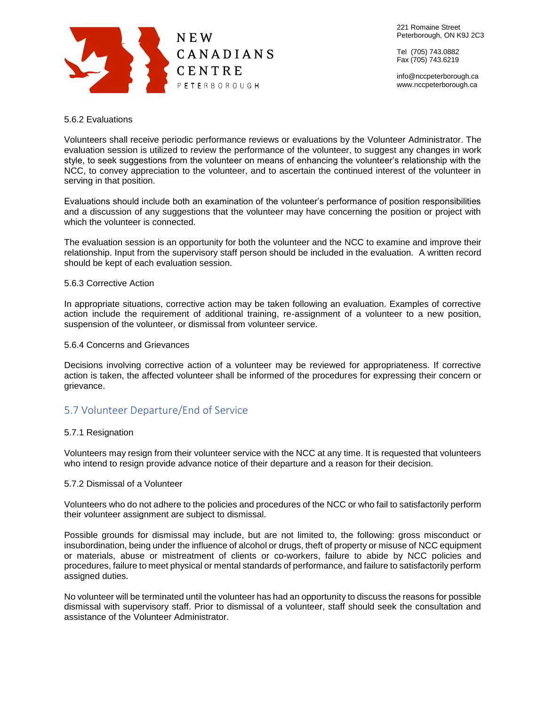

221 Romaine Street Peterborough, ON K9J 2C3

Tel (705) 743.0882 Fax (705) 743.6219

info@nccpeterborough.ca www.nccpeterborough.ca

# 5.6.2 Evaluations

Volunteers shall receive periodic performance reviews or evaluations by the Volunteer Administrator. The evaluation session is utilized to review the performance of the volunteer, to suggest any changes in work style, to seek suggestions from the volunteer on means of enhancing the volunteer's relationship with the NCC, to convey appreciation to the volunteer, and to ascertain the continued interest of the volunteer in serving in that position.

Evaluations should include both an examination of the volunteer's performance of position responsibilities and a discussion of any suggestions that the volunteer may have concerning the position or project with which the volunteer is connected.

The evaluation session is an opportunity for both the volunteer and the NCC to examine and improve their relationship. Input from the supervisory staff person should be included in the evaluation. A written record should be kept of each evaluation session.

# 5.6.3 Corrective Action

In appropriate situations, corrective action may be taken following an evaluation. Examples of corrective action include the requirement of additional training, re-assignment of a volunteer to a new position, suspension of the volunteer, or dismissal from volunteer service.

# 5.6.4 Concerns and Grievances

Decisions involving corrective action of a volunteer may be reviewed for appropriateness. If corrective action is taken, the affected volunteer shall be informed of the procedures for expressing their concern or grievance.

# <span id="page-7-0"></span>5.7 Volunteer Departure/End of Service

# 5.7.1 Resignation

Volunteers may resign from their volunteer service with the NCC at any time. It is requested that volunteers who intend to resign provide advance notice of their departure and a reason for their decision.

# 5.7.2 Dismissal of a Volunteer

Volunteers who do not adhere to the policies and procedures of the NCC or who fail to satisfactorily perform their volunteer assignment are subject to dismissal.

Possible grounds for dismissal may include, but are not limited to, the following: gross misconduct or insubordination, being under the influence of alcohol or drugs, theft of property or misuse of NCC equipment or materials, abuse or mistreatment of clients or co-workers, failure to abide by NCC policies and procedures, failure to meet physical or mental standards of performance, and failure to satisfactorily perform assigned duties.

No volunteer will be terminated until the volunteer has had an opportunity to discuss the reasons for possible dismissal with supervisory staff. Prior to dismissal of a volunteer, staff should seek the consultation and assistance of the Volunteer Administrator.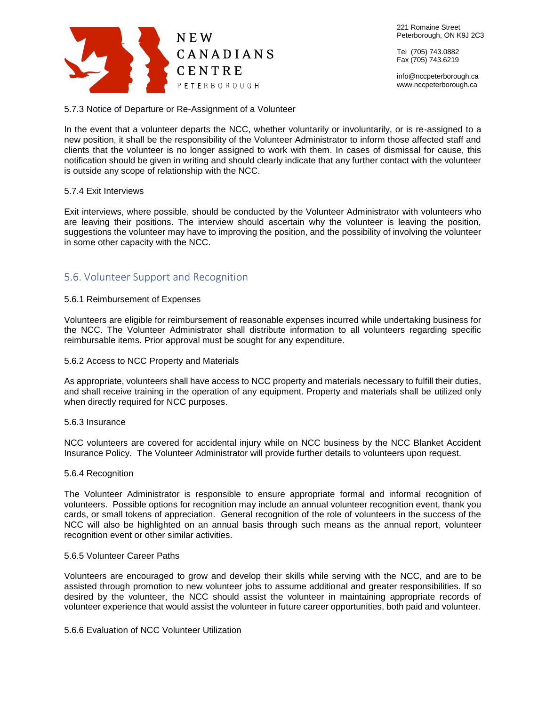

info@nccpeterborough.ca www.nccpeterborough.ca

5.7.3 Notice of Departure or Re-Assignment of a Volunteer

In the event that a volunteer departs the NCC, whether voluntarily or involuntarily, or is re-assigned to a new position, it shall be the responsibility of the Volunteer Administrator to inform those affected staff and clients that the volunteer is no longer assigned to work with them. In cases of dismissal for cause, this notification should be given in writing and should clearly indicate that any further contact with the volunteer is outside any scope of relationship with the NCC.

# 5.7.4 Exit Interviews

Exit interviews, where possible, should be conducted by the Volunteer Administrator with volunteers who are leaving their positions. The interview should ascertain why the volunteer is leaving the position, suggestions the volunteer may have to improving the position, and the possibility of involving the volunteer in some other capacity with the NCC.

# <span id="page-8-0"></span>5.6. Volunteer Support and Recognition

# 5.6.1 Reimbursement of Expenses

Volunteers are eligible for reimbursement of reasonable expenses incurred while undertaking business for the NCC. The Volunteer Administrator shall distribute information to all volunteers regarding specific reimbursable items. Prior approval must be sought for any expenditure.

# 5.6.2 Access to NCC Property and Materials

As appropriate, volunteers shall have access to NCC property and materials necessary to fulfill their duties, and shall receive training in the operation of any equipment. Property and materials shall be utilized only when directly required for NCC purposes.

# 5.6.3 Insurance

NCC volunteers are covered for accidental injury while on NCC business by the NCC Blanket Accident Insurance Policy. The Volunteer Administrator will provide further details to volunteers upon request.

# 5.6.4 Recognition

The Volunteer Administrator is responsible to ensure appropriate formal and informal recognition of volunteers. Possible options for recognition may include an annual volunteer recognition event, thank you cards, or small tokens of appreciation. General recognition of the role of volunteers in the success of the NCC will also be highlighted on an annual basis through such means as the annual report, volunteer recognition event or other similar activities.

# 5.6.5 Volunteer Career Paths

Volunteers are encouraged to grow and develop their skills while serving with the NCC, and are to be assisted through promotion to new volunteer jobs to assume additional and greater responsibilities. If so desired by the volunteer, the NCC should assist the volunteer in maintaining appropriate records of volunteer experience that would assist the volunteer in future career opportunities, both paid and volunteer.

# 5.6.6 Evaluation of NCC Volunteer Utilization